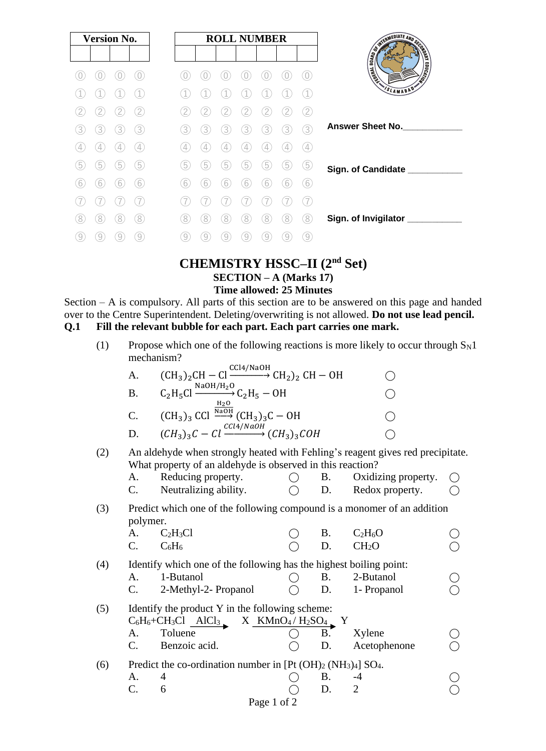|   | <b>Version No.</b> |   |               |   | <b>ROLL NUMBER</b> |                |                |   |   |                   | AND REDIATE AND SCRIPTION |          |  |  |
|---|--------------------|---|---------------|---|--------------------|----------------|----------------|---|---|-------------------|---------------------------|----------|--|--|
|   |                    |   |               |   |                    |                |                |   |   |                   |                           |          |  |  |
|   |                    |   |               |   |                    |                |                |   |   |                   |                           |          |  |  |
|   |                    |   |               |   |                    |                |                |   |   |                   |                           | SLAMABAD |  |  |
|   |                    |   | 2             | 2 |                    | $\overline{2}$ | $\overline{2}$ |   |   | 2                 |                           |          |  |  |
| 3 | 3                  | 3 | 3)            | 3 | 3                  | 3.             | 3              | 3 | 3 | 3                 | <b>Answer Sheet No.</b>   |          |  |  |
| 4 | 4                  | 4 | $\frac{1}{2}$ | 4 | 4                  | 4              | 4              |   | 4 | $\left( 4\right)$ |                           |          |  |  |
| 5 | 5                  | 5 | 5             | 5 | 5                  | 5              | 5              | 5 | 5 | 5                 | Sign. of Candidate __     |          |  |  |
| b | 6                  | 6 | 6             | 6 | 6                  | 6              | 6              | 6 | b | 6                 |                           |          |  |  |
|   |                    |   |               |   |                    |                |                |   |   |                   |                           |          |  |  |
| 8 | 8                  | 8 | 8             | 8 | 8                  | 8              | 8              | 8 | Õ | 8                 | Sign. of Invigilator      |          |  |  |
|   |                    |   | 9             | 9 |                    |                |                |   |   | 9                 |                           |          |  |  |

# **CHEMISTRY HSSC–II (2nd Set) SECTION – A (Marks 17)**

**Time allowed: 25 Minutes**

Section – A is compulsory. All parts of this section are to be answered on this page and handed over to the Centre Superintendent. Deleting/overwriting is not allowed. **Do not use lead pencil. Q.1 Fill the relevant bubble for each part. Each part carries one mark.**

(1) Propose which one of the following reactions is more likely to occur through  $S_N1$ mechanism? CCl4/NaOH

|     | A.        | $(CH_3)_2CH - Cl \xrightarrow{\longrightarrow} CH_2)_2 CH - OH$                                                                              |            |            |                     |  |
|-----|-----------|----------------------------------------------------------------------------------------------------------------------------------------------|------------|------------|---------------------|--|
|     | <b>B.</b> | $C_2H_5Cl \xrightarrow{\text{NaOH}/H_2O} C_2H_5 - OH$                                                                                        |            |            |                     |  |
|     | C.        | $(CH_3)_3$ CCl $\stackrel{\text{H}_2O}{\longrightarrow}$ (CH <sub>3</sub> ) <sub>3</sub> C – OH                                              |            |            |                     |  |
|     | D.        | $(CH_3)_3C - Cl \xrightarrow{CCl4/NaOH} (CH_3)_3COH$                                                                                         |            |            |                     |  |
| (2) |           | An aldehyde when strongly heated with Fehling's reagent gives red precipitate.<br>What property of an aldehyde is observed in this reaction? |            |            |                     |  |
|     | А.        | Reducing property.                                                                                                                           | $\bigcirc$ | <b>B</b> . | Oxidizing property. |  |
|     | C.        | Neutralizing ability.                                                                                                                        | $\bigcap$  | D.         | Redox property.     |  |
| (3) | polymer.  | Predict which one of the following compound is a monomer of an addition                                                                      |            |            |                     |  |
|     | А.        | $C_2H_3Cl$                                                                                                                                   |            | B.         | $C_2H_6O$           |  |
|     | C.        | $C_6H_6$                                                                                                                                     |            | D.         | CH <sub>2</sub> O   |  |
| (4) |           | Identify which one of the following has the highest boiling point:                                                                           |            |            |                     |  |
|     | A.        | 1-Butanol                                                                                                                                    |            | В.         | 2-Butanol           |  |
|     | C.        | 2-Methyl-2- Propanol                                                                                                                         |            |            | D. 1 - Propanol     |  |
| (5) |           | Identify the product Y in the following scheme:<br>$C_6H_6+CH_3Cl$ AlCl <sub>3</sub> X KMnO <sub>4</sub> /H <sub>2</sub> SO <sub>4</sub> Y   |            |            |                     |  |

A. Toluene  $\bigcirc$  B. Xylene  $\bigcirc$ A. Toluene  $\bigcirc$  B. Xylene  $\bigcirc$ <br>C. Benzoic acid.  $\bigcirc$  D. Acetophenone  $\bigcirc$ (6) Predict the co-ordination number in  $[Pt (OH)_2 (NH_3)_4] SO_4$ . A. 4  $\bigcirc$  B. -4  $\bigcirc$ C. 6  $\qquad \qquad \bigcirc \qquad D.$  2  $\qquad \bigcirc$ Page 1 of 2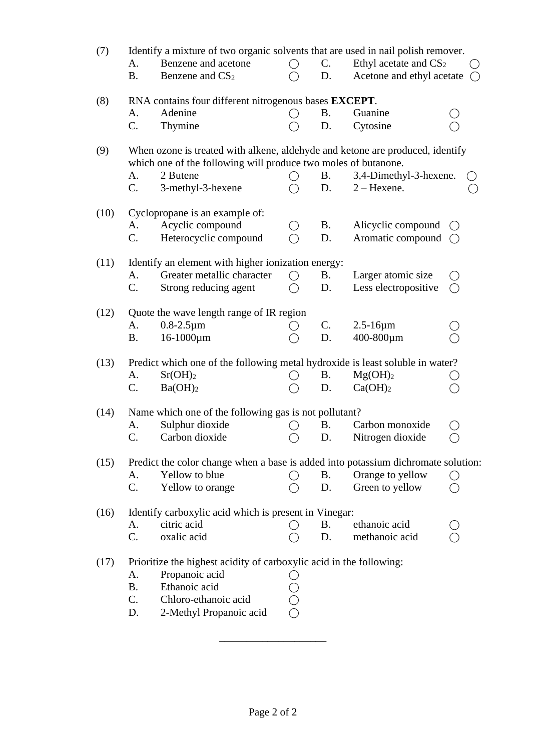| (7)  | Identify a mixture of two organic solvents that are used in nail polish remover. |                                                                                                                                                 |                                               |           |                          |     |  |  |  |  |  |  |  |
|------|----------------------------------------------------------------------------------|-------------------------------------------------------------------------------------------------------------------------------------------------|-----------------------------------------------|-----------|--------------------------|-----|--|--|--|--|--|--|--|
|      | A.                                                                               | Benzene and acetone                                                                                                                             | ( )                                           | C.        | Ethyl acetate and $CS_2$ |     |  |  |  |  |  |  |  |
|      | <b>B.</b>                                                                        | Acetone and ethyl acetate<br>Benzene and CS <sub>2</sub><br>D.                                                                                  |                                               |           |                          |     |  |  |  |  |  |  |  |
| (8)  | RNA contains four different nitrogenous bases EXCEPT.                            |                                                                                                                                                 |                                               |           |                          |     |  |  |  |  |  |  |  |
|      | А.                                                                               | Adenine                                                                                                                                         | ( )                                           | <b>B.</b> | Guanine                  |     |  |  |  |  |  |  |  |
|      | $\mathcal{C}$ .                                                                  | Thymine                                                                                                                                         |                                               | D.        | Cytosine                 |     |  |  |  |  |  |  |  |
| (9)  |                                                                                  | When ozone is treated with alkene, aldehyde and ketone are produced, identify<br>which one of the following will produce two moles of butanone. |                                               |           |                          |     |  |  |  |  |  |  |  |
|      | A.                                                                               | 2 Butene                                                                                                                                        | ( )                                           | <b>B.</b> | 3,4-Dimethyl-3-hexene.   |     |  |  |  |  |  |  |  |
|      | C.                                                                               | 3-methyl-3-hexene                                                                                                                               |                                               | D.        | $2 -$ Hexene.            |     |  |  |  |  |  |  |  |
| (10) | Cyclopropane is an example of:                                                   |                                                                                                                                                 |                                               |           |                          |     |  |  |  |  |  |  |  |
|      | А.                                                                               | Acyclic compound                                                                                                                                | $\left( \begin{array}{c} \end{array} \right)$ | <b>B.</b> | Alicyclic compound       |     |  |  |  |  |  |  |  |
|      | C.                                                                               | Heterocyclic compound                                                                                                                           |                                               | D.        | Aromatic compound        | ( ) |  |  |  |  |  |  |  |
| (11) | Identify an element with higher ionization energy:                               |                                                                                                                                                 |                                               |           |                          |     |  |  |  |  |  |  |  |
|      | A.                                                                               | Greater metallic character                                                                                                                      | ( )                                           | <b>B.</b> | Larger atomic size       |     |  |  |  |  |  |  |  |
|      | C.                                                                               | Strong reducing agent                                                                                                                           | ◯                                             | D.        | Less electropositive     | ( ) |  |  |  |  |  |  |  |
| (12) | А.                                                                               | Quote the wave length range of IR region                                                                                                        |                                               | C.        |                          |     |  |  |  |  |  |  |  |
|      |                                                                                  | $0.8 - 2.5 \mu m$                                                                                                                               |                                               |           | $2.5 - 16 \mu m$         |     |  |  |  |  |  |  |  |
|      | Β.                                                                               | 16-1000μm                                                                                                                                       |                                               | D.        | 400-800µm                |     |  |  |  |  |  |  |  |
| (13) | Predict which one of the following metal hydroxide is least soluble in water?    |                                                                                                                                                 |                                               |           |                          |     |  |  |  |  |  |  |  |
|      | A.                                                                               | Sr(OH) <sub>2</sub>                                                                                                                             |                                               | Β.        | Mg(OH) <sub>2</sub>      |     |  |  |  |  |  |  |  |
|      | C.                                                                               | Ba(OH) <sub>2</sub>                                                                                                                             |                                               | D.        | Ca(OH) <sub>2</sub>      |     |  |  |  |  |  |  |  |
| (14) | Name which one of the following gas is not pollutant?                            |                                                                                                                                                 |                                               |           |                          |     |  |  |  |  |  |  |  |
|      | А.                                                                               | Sulphur dioxide                                                                                                                                 |                                               | <b>B.</b> | Carbon monoxide          |     |  |  |  |  |  |  |  |
|      | C.                                                                               | Carbon dioxide                                                                                                                                  |                                               | D.        | Nitrogen dioxide         |     |  |  |  |  |  |  |  |
| (15) |                                                                                  | Predict the color change when a base is added into potassium dichromate solution:                                                               |                                               |           |                          |     |  |  |  |  |  |  |  |
|      | А.                                                                               | Yellow to blue                                                                                                                                  |                                               | <b>B.</b> | Orange to yellow         |     |  |  |  |  |  |  |  |
|      | C.                                                                               | Yellow to orange                                                                                                                                |                                               | D.        | Green to yellow          |     |  |  |  |  |  |  |  |
| (16) |                                                                                  | Identify carboxylic acid which is present in Vinegar:                                                                                           |                                               |           |                          |     |  |  |  |  |  |  |  |
|      | A.                                                                               | citric acid                                                                                                                                     |                                               | Β.        | ethanoic acid            |     |  |  |  |  |  |  |  |
|      | C.                                                                               | oxalic acid                                                                                                                                     |                                               | D.        | methanoic acid           |     |  |  |  |  |  |  |  |
| (17) | Prioritize the highest acidity of carboxylic acid in the following:              |                                                                                                                                                 |                                               |           |                          |     |  |  |  |  |  |  |  |
|      | A.                                                                               | Propanoic acid                                                                                                                                  |                                               |           |                          |     |  |  |  |  |  |  |  |
|      | <b>B.</b>                                                                        | Ethanoic acid                                                                                                                                   |                                               |           |                          |     |  |  |  |  |  |  |  |
|      | $\mathcal{C}$ .                                                                  | Chloro-ethanoic acid                                                                                                                            |                                               |           |                          |     |  |  |  |  |  |  |  |
|      | D.                                                                               | 2-Methyl Propanoic acid                                                                                                                         |                                               |           |                          |     |  |  |  |  |  |  |  |
|      |                                                                                  |                                                                                                                                                 |                                               |           |                          |     |  |  |  |  |  |  |  |

\_\_\_\_\_\_\_\_\_\_\_\_\_\_\_\_\_\_\_\_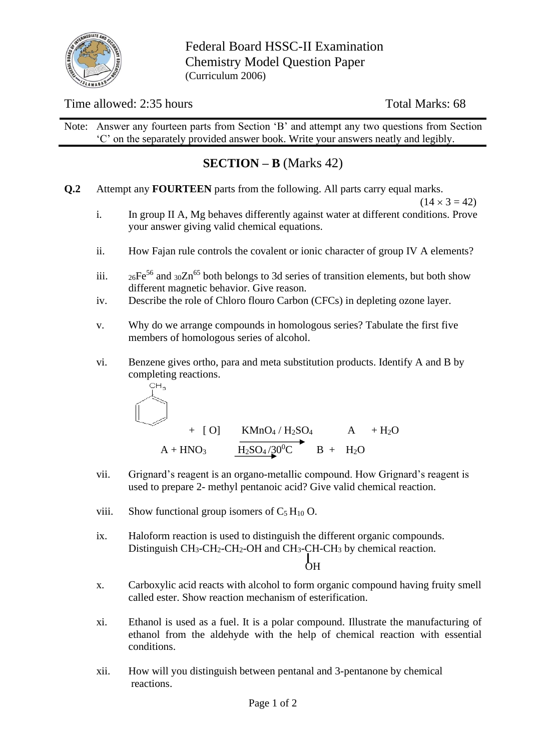

Federal Board HSSC-II Examination Chemistry Model Question Paper (Curriculum 2006)

# Time allowed: 2:35 hours Total Marks: 68

Í

Note: Answer any fourteen parts from Section 'B' and attempt any two questions from Section 'C' on the separately provided answer book. Write your answers neatly and legibly.

# **SECTION – B** (Marks 42)

**Q.2** Attempt any **FOURTEEN** parts from the following. All parts carry equal marks.

- $(14 \times 3 = 42)$
- i. In group II A, Mg behaves differently against water at different conditions. Prove your answer giving valid chemical equations.
- ii. How Fajan rule controls the covalent or ionic character of group IV A elements?
- iii.  ${}_{26}Fe^{56}$  and  ${}_{30}Zn^{65}$  both belongs to 3d series of transition elements, but both show different magnetic behavior. Give reason.
- iv. Describe the role of Chloro flouro Carbon (CFCs) in depleting ozone layer.
- v. Why do we arrange compounds in homologous series? Tabulate the first five members of homologous series of alcohol.
- vi. Benzene gives ortho, para and meta substitution products. Identify A and B by completing reactions.

$$
+ [O] \tK MnO4/H2SO4 A + H2O
$$
  
A + HNO<sub>3</sub>  $\xrightarrow{H_2SO_4/30^0C} B + H_2O$ 

- vii. Grignard's reagent is an organo-metallic compound. How Grignard's reagent is used to prepare 2- methyl pentanoic acid? Give valid chemical reaction.
- viii. Show functional group isomers of  $C_5 H_{10} O$ .
- ix. Haloform reaction is used to distinguish the different organic compounds. Distinguish CH3-CH2-CH2-OH and CH3-CH-CH<sup>3</sup> by chemical reaction. **OH**
- x. Carboxylic acid reacts with alcohol to form organic compound having fruity smell called ester. Show reaction mechanism of esterification.
- xi. Ethanol is used as a fuel. It is a polar compound. Illustrate the manufacturing of ethanol from the aldehyde with the help of chemical reaction with essential conditions.
- xii. How will you distinguish between pentanal and 3-pentanone by chemical reactions.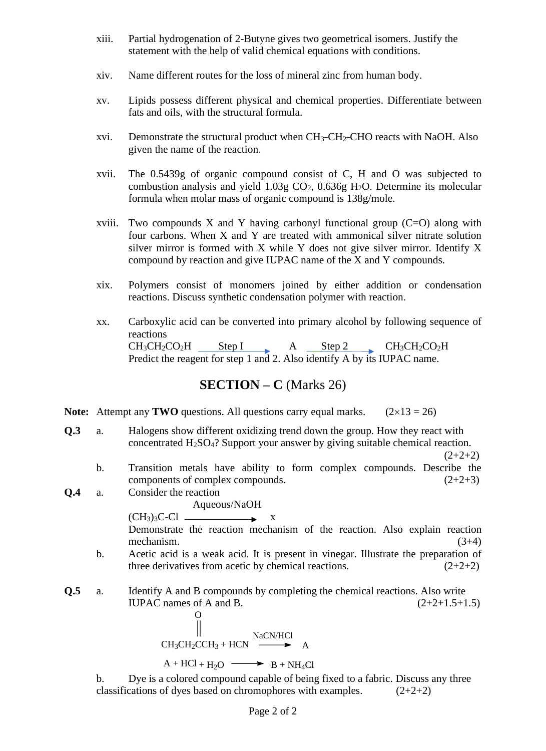- xiii. Partial hydrogenation of 2-Butyne gives two geometrical isomers. Justify the statement with the help of valid chemical equations with conditions.
- xiv. Name different routes for the loss of mineral zinc from human body.
- xv. Lipids possess different physical and chemical properties. Differentiate between fats and oils, with the structural formula.
- xvi. Demonstrate the structural product when CH<sub>3</sub>-CH<sub>2</sub>-CHO reacts with NaOH. Also given the name of the reaction.
- xvii. The 0.5439g of organic compound consist of C, H and O was subjected to combustion analysis and yield  $1.03g$  CO<sub>2</sub>,  $0.636g$  H<sub>2</sub>O. Determine its molecular formula when molar mass of organic compound is 138g/mole.
- xviii. Two compounds X and Y having carbonyl functional group  $(C=O)$  along with four carbons. When X and Y are treated with ammonical silver nitrate solution silver mirror is formed with  $X$  while  $Y$  does not give silver mirror. Identify  $X$ compound by reaction and give IUPAC name of the X and Y compounds.
- xix. Polymers consist of monomers joined by either addition or condensation reactions. Discuss synthetic condensation polymer with reaction.
- xx. Carboxylic acid can be converted into primary alcohol by following sequence of reactions  $CH_3CH_2CO_2H$  Step I A Step 2 CH<sub>3</sub>CH<sub>2</sub>CO<sub>2</sub>H Predict the reagent for step 1 and 2. Also identify A by its IUPAC name.

**SECTION – C** (Marks 26)

**Note:** Attempt any **TWO** questions. All questions carry equal marks.  $(2 \times 13 = 26)$ 

**Q.3** a. Halogens show different oxidizing trend down the group. How they react with concentrated H2SO4? Support your answer by giving suitable chemical reaction.

 $(2+2+2)$ 

- b. Transition metals have ability to form complex compounds. Describe the components of complex compounds.  $(2+2+3)$
- **Q.4** a. Consider the reaction

Aqueous/NaOH

 $\angle$  (CH<sub>3</sub>)<sub>3</sub>C-Cl  $\rightarrow$  x Demonstrate the reaction mechanism of the reaction. Also explain reaction mechanism.  $(3+4)$ 

- b. Acetic acid is a weak acid. It is present in vinegar. Illustrate the preparation of three derivatives from acetic by chemical reactions.  $(2+2+2)$
- **Q.5** a. Identify A and B compounds by completing the chemical reactions. Also write IUPAC names of A and B.  $(2+2+1.5+1.5)$

$$
\begin{array}{c}\n0 \\
\parallel \\
CH_3CH_2CCH_3 + HCN\n\end{array}
$$
\n
$$
\begin{array}{c}\n\text{NaCN/HCl} \\
\longrightarrow \\
\downarrow \\
\end{array}
$$

$$
A + HCl + H_2O \longrightarrow B + NH_4Cl
$$

b. Dye is a colored compound capable of being fixed to a fabric. Discuss any three classifications of dyes based on chromophores with examples.  $(2+2+2)$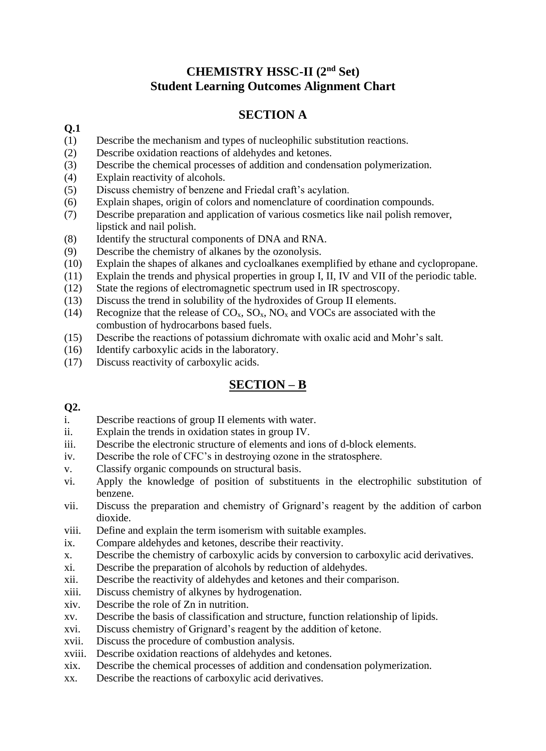# **CHEMISTRY HSSC-II (2nd Set) Student Learning Outcomes Alignment Chart**

# **SECTION A**

### **Q.1**

- (1) Describe the mechanism and types of nucleophilic substitution reactions.
- (2) Describe oxidation reactions of aldehydes and ketones.
- (3) Describe the chemical processes of addition and condensation polymerization.
- (4) Explain reactivity of alcohols.
- (5) Discuss chemistry of benzene and Friedal craft's acylation.
- (6) Explain shapes, origin of colors and nomenclature of coordination compounds.
- (7) Describe preparation and application of various cosmetics like nail polish remover, lipstick and nail polish.
- (8) Identify the structural components of DNA and RNA.
- (9) Describe the chemistry of alkanes by the ozonolysis.
- (10) Explain the shapes of alkanes and cycloalkanes exemplified by ethane and cyclopropane.
- (11) Explain the trends and physical properties in group I, II, IV and VII of the periodic table.
- (12) State the regions of electromagnetic spectrum used in IR spectroscopy.
- (13) Discuss the trend in solubility of the hydroxides of Group II elements.
- (14) Recognize that the release of  $CO_x$ ,  $SO_x$ ,  $NO_x$  and VOCs are associated with the combustion of hydrocarbons based fuels.
- (15) Describe the reactions of potassium dichromate with oxalic acid and Mohr's salt.
- (16) Identify carboxylic acids in the laboratory.
- (17) Discuss reactivity of carboxylic acids.

# **SECTION – B**

## **Q2.**

- i. Describe reactions of group II elements with water.
- ii. Explain the trends in oxidation states in group IV.
- iii. Describe the electronic structure of elements and ions of d-block elements.
- iv. Describe the role of CFC's in destroying ozone in the stratosphere.
- v. Classify organic compounds on structural basis.
- vi. Apply the knowledge of position of substituents in the electrophilic substitution of benzene.
- vii. Discuss the preparation and chemistry of Grignard's reagent by the addition of carbon dioxide.
- viii. Define and explain the term isomerism with suitable examples.
- ix. Compare aldehydes and ketones, describe their reactivity.
- x. Describe the chemistry of carboxylic acids by conversion to carboxylic acid derivatives.
- xi. Describe the preparation of alcohols by reduction of aldehydes.
- xii. Describe the reactivity of aldehydes and ketones and their comparison.
- xiii. Discuss chemistry of alkynes by hydrogenation.
- xiv. Describe the role of Zn in nutrition.
- xv. Describe the basis of classification and structure, function relationship of lipids.
- xvi. Discuss chemistry of Grignard's reagent by the addition of ketone.
- xvii. Discuss the procedure of combustion analysis.
- xviii. Describe oxidation reactions of aldehydes and ketones.
- xix. Describe the chemical processes of addition and condensation polymerization.
- xx. Describe the reactions of carboxylic acid derivatives.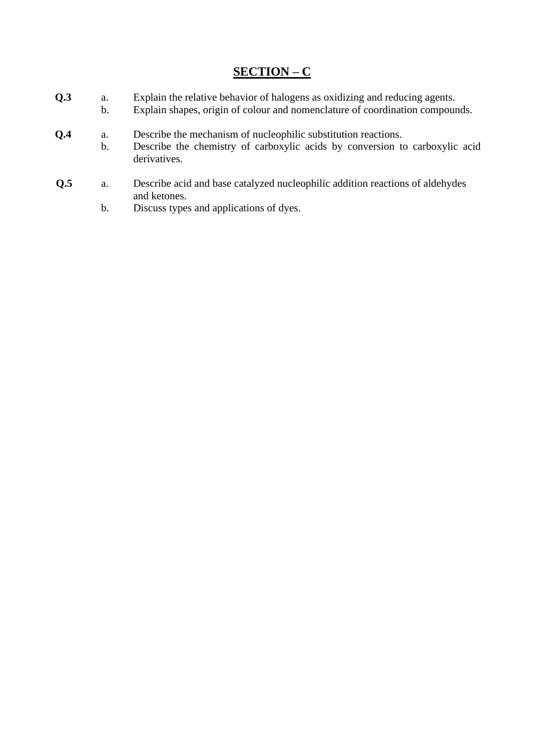# **SECTION – C**

- **Q.3** a. Explain the relative behavior of halogens as oxidizing and reducing agents.
	- b. Explain shapes, origin of colour and nomenclature of coordination compounds.
- **Q.4** a. Describe the mechanism of nucleophilic substitution reactions.
	- b. Describe the chemistry of carboxylic acids by conversion to carboxylic acid derivatives.
- **Q.5** a. Describe acid and base catalyzed nucleophilic addition reactions of aldehydes and ketones.
	- b. Discuss types and applications of dyes.